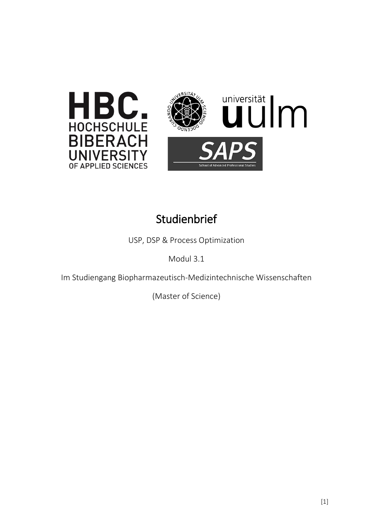



## **Studienbrief**

USP, DSP & Process Optimization

Modul 3.1

Im Studiengang Biopharmazeutisch-Medizintechnische Wissenschaften

(Master of Science)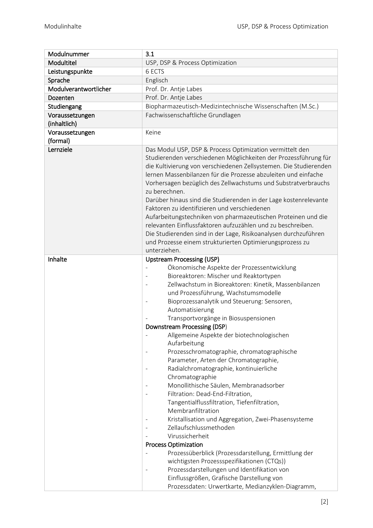| Modulnummer                 | 3.1                                                                                                                                                                                                                                                                                                                                                                                                                                                                                                                                                                                                                                                                                                                                                                                                                                                                                                                                                                                                                            |
|-----------------------------|--------------------------------------------------------------------------------------------------------------------------------------------------------------------------------------------------------------------------------------------------------------------------------------------------------------------------------------------------------------------------------------------------------------------------------------------------------------------------------------------------------------------------------------------------------------------------------------------------------------------------------------------------------------------------------------------------------------------------------------------------------------------------------------------------------------------------------------------------------------------------------------------------------------------------------------------------------------------------------------------------------------------------------|
| Modultitel                  | USP, DSP & Process Optimization                                                                                                                                                                                                                                                                                                                                                                                                                                                                                                                                                                                                                                                                                                                                                                                                                                                                                                                                                                                                |
| Leistungspunkte             | 6 ECTS                                                                                                                                                                                                                                                                                                                                                                                                                                                                                                                                                                                                                                                                                                                                                                                                                                                                                                                                                                                                                         |
| Sprache                     | Englisch                                                                                                                                                                                                                                                                                                                                                                                                                                                                                                                                                                                                                                                                                                                                                                                                                                                                                                                                                                                                                       |
| Modulverantwortlicher       | Prof. Dr. Antje Labes                                                                                                                                                                                                                                                                                                                                                                                                                                                                                                                                                                                                                                                                                                                                                                                                                                                                                                                                                                                                          |
| Dozenten                    | Prof. Dr. Antje Labes                                                                                                                                                                                                                                                                                                                                                                                                                                                                                                                                                                                                                                                                                                                                                                                                                                                                                                                                                                                                          |
| Studiengang                 | Biopharmazeutisch-Medizintechnische Wissenschaften (M.Sc.)                                                                                                                                                                                                                                                                                                                                                                                                                                                                                                                                                                                                                                                                                                                                                                                                                                                                                                                                                                     |
| Voraussetzungen             | Fachwissenschaftliche Grundlagen                                                                                                                                                                                                                                                                                                                                                                                                                                                                                                                                                                                                                                                                                                                                                                                                                                                                                                                                                                                               |
| (inhaltlich)                |                                                                                                                                                                                                                                                                                                                                                                                                                                                                                                                                                                                                                                                                                                                                                                                                                                                                                                                                                                                                                                |
| Voraussetzungen<br>(formal) | Keine                                                                                                                                                                                                                                                                                                                                                                                                                                                                                                                                                                                                                                                                                                                                                                                                                                                                                                                                                                                                                          |
| Lernziele                   | Das Modul USP, DSP & Process Optimization vermittelt den<br>Studierenden verschiedenen Möglichkeiten der Prozessführung für<br>die Kultivierung von verschiedenen Zellsystemen. Die Studierenden<br>lernen Massenbilanzen für die Prozesse abzuleiten und einfache<br>Vorhersagen bezüglich des Zellwachstums und Substratverbrauchs<br>zu berechnen.<br>Darüber hinaus sind die Studierenden in der Lage kostenrelevante<br>Faktoren zu identifizieren und verschiedenen<br>Aufarbeitungstechniken von pharmazeutischen Proteinen und die<br>relevanten Einflussfaktoren aufzuzählen und zu beschreiben.<br>Die Studierenden sind in der Lage, Risikoanalysen durchzuführen<br>und Prozesse einem strukturierten Optimierungsprozess zu<br>unterziehen.                                                                                                                                                                                                                                                                       |
|                             |                                                                                                                                                                                                                                                                                                                                                                                                                                                                                                                                                                                                                                                                                                                                                                                                                                                                                                                                                                                                                                |
| Inhalte                     | <b>Upstream Processing (USP)</b><br>Ökonomische Aspekte der Prozessentwicklung<br>Bioreaktoren: Mischer und Reaktortypen<br>Zellwachstum in Bioreaktoren: Kinetik, Massenbilanzen<br>und Prozessführung, Wachstumsmodelle<br>Bioprozessanalytik und Steuerung: Sensoren,<br>Automatisierung<br>Transportvorgänge in Biosuspensionen<br>Downstream Processing (DSP)<br>Allgemeine Aspekte der biotechnologischen<br>Aufarbeitung<br>Prozesschromatographie, chromatographische<br>Parameter, Arten der Chromatographie,<br>Radialchromatographie, kontinuierliche<br>Chromatographie<br>Monollithische Säulen, Membranadsorber<br>Filtration: Dead-End-Filtration,<br>Tangentialflussfiltration, Tiefenfiltration,<br>Membranfiltration<br>Kristallisation und Aggregation, Zwei-Phasensysteme<br>Zellaufschlussmethoden<br>Virussicherheit<br><b>Process Optimization</b><br>Prozessüberblick (Prozessdarstellung, Ermittlung der<br>wichtigsten Prozessspezifikationen (CTQs))<br>Prozessdarstellungen und Identifikation von |
|                             | Einflussgrößen, Grafische Darstellung von<br>Prozessdaten: Urwertkarte, Medianzyklen-Diagramm,                                                                                                                                                                                                                                                                                                                                                                                                                                                                                                                                                                                                                                                                                                                                                                                                                                                                                                                                 |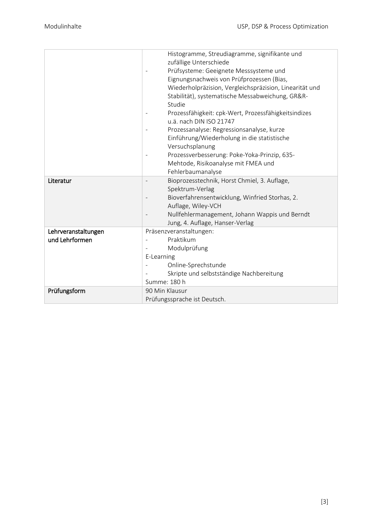|                     | Histogramme, Streudiagramme, signifikante und                                   |
|---------------------|---------------------------------------------------------------------------------|
|                     | zufällige Unterschiede                                                          |
|                     | Prüfsysteme: Geeignete Messsysteme und                                          |
|                     | Eignungsnachweis von Prüfprozessen (Bias,                                       |
|                     | Wiederholpräzision, Vergleichspräzision, Linearität und                         |
|                     | Stabilität), systematische Messabweichung, GR&R-                                |
|                     | Studie                                                                          |
|                     | Prozessfähigkeit: cpk-Wert, Prozessfähigkeitsindizes<br>u.ä. nach DIN ISO 21747 |
|                     | Prozessanalyse: Regressionsanalyse, kurze                                       |
|                     | Einführung/Wiederholung in die statistische                                     |
|                     | Versuchsplanung                                                                 |
|                     | Prozessverbesserung: Poke-Yoka-Prinzip, 635-                                    |
|                     | Mehtode, Risikoanalyse mit FMEA und                                             |
|                     | Fehlerbaumanalyse                                                               |
| Literatur           | Bioprozesstechnik, Horst Chmiel, 3. Auflage,                                    |
|                     | Spektrum-Verlag                                                                 |
|                     | Bioverfahrensentwicklung, Winfried Storhas, 2.                                  |
|                     | Auflage, Wiley-VCH                                                              |
|                     | Nullfehlermanagement, Johann Wappis und Berndt                                  |
|                     | Jung, 4. Auflage, Hanser-Verlag                                                 |
| Lehrveranstaltungen | Präsenzveranstaltungen:                                                         |
| und Lehrformen      | Praktikum                                                                       |
|                     | Modulprüfung                                                                    |
|                     | E-Learning                                                                      |
|                     | Online-Sprechstunde                                                             |
|                     | Skripte und selbstständige Nachbereitung                                        |
|                     | Summe: 180 h                                                                    |
| Prüfungsform        | 90 Min Klausur                                                                  |
|                     | Prüfungssprache ist Deutsch.                                                    |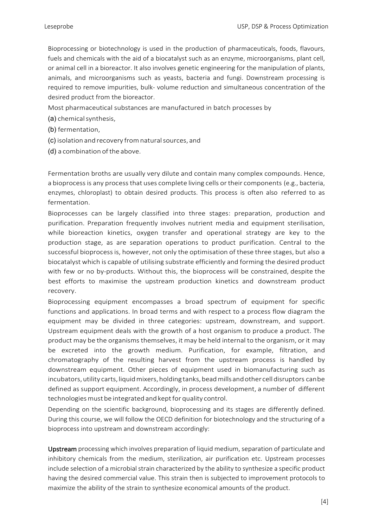Bioprocessing or biotechnology is used in the production of pharmaceuticals, foods, flavours, fuels and chemicals with the aid of a biocatalyst such as an enzyme, microorganisms, plant cell, or animal cell in a bioreactor. It also involves genetic engineering for the manipulation of plants, animals, and microorganisms such as yeasts, bacteria and fungi. Downstream processing is required to remove impurities, bulk- volume reduction and simultaneous concentration of the desired product from the bioreactor.

Most pharmaceutical substances are manufactured in batch processes by

- (a) chemical synthesis,
- (b) fermentation,
- (c) isolation and recovery fromnaturalsources, and
- (d) a combination of the above.

Fermentation broths are usually very dilute and contain many complex compounds. Hence, a bioprocess is any process that uses complete living cells or their components (e.g., bacteria, enzymes, chloroplast) to obtain desired products. This process is often also referred to as fermentation.

Bioprocesses can be largely classified into three stages: preparation, production and purification. Preparation frequently involves nutrient media and equipment sterilisation, while bioreaction kinetics, oxygen transfer and operational strategy are key to the production stage, as are separation operations to product purification. Central to the successful bioprocess is, however, not only the optimisation of these three stages, but also a biocatalyst which is capable of utilising substrate efficiently and forming the desired product with few or no by-products. Without this, the bioprocess will be constrained, despite the best efforts to maximise the upstream production kinetics and downstream product recovery.

Bioprocessing equipment encompasses a broad spectrum of equipment for specific functions and applications. In broad terms and with respect to a process flow diagram the equipment may be divided in three categories: upstream, downstream, and support. Upstream equipment deals with the growth of a host organism to produce a product. The product may be the organisms themselves, it may be held internal to the organism, or it may be excreted into the growth medium. Purification, for example, filtration, and chromatography of the resulting harvest from the upstream process is handled by downstream equipment. Other pieces of equipment used in biomanufacturing such as incubators, utility carts, liquid mixers, holding tanks, bead mills and other cell disruptors canbe defined as support equipment. Accordingly, in process development, a number of different technologies must be integrated and kept for quality control.

Depending on the scientific background, bioprocessing and its stages are differently defined. During this course, we will follow the OECD definition for biotechnology and the structuring of a bioprocess into upstream and downstream accordingly:

Upstream processing which involves preparation of liquid medium, separation of particulate and inhibitory chemicals from the medium, sterilization, air purification etc. Upstream processes include selection of a microbial strain characterized by the ability to synthesize a specific product having the desired commercial value. This strain then is subjected to improvement protocols to maximize the ability of the strain to synthesize economical amounts of the product.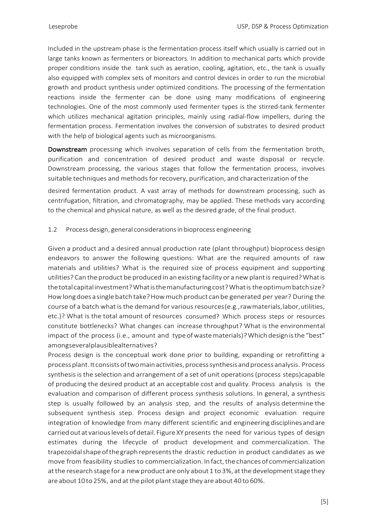Included in the upstream phase is the fermentation process itself which usually is carried out in large tanks known as fermenters or bioreactors. In addition to mechanical parts which provide proper conditions inside the tank such as aeration, cooling, agitation, etc., the tank is usually also equipped with complex sets of monitors and control devices in order to run the microbial growth and product synthesis under optimized conditions. The processing of the fermentation reactions inside the fermenter can be done using many modifications of engineering technologies. One of the most commonly used fermenter types is the stirred-tank fermenter which utilizes mechanical agitation principles, mainly using radial-flow impellers, during the fermentation process. Fermentation involves the conversion of substrates to desired product with the help of biological agents such as microorganisms.

Downstream processing which involves separation of cells from the fermentation broth, purification and concentration of desired product and waste disposal or recycle. Downstream processing, the various stages that follow the fermentation process, involves suitable techniques and methods for recovery, purification, and characterization of the

desired fermentation product. A vast array of methods for downstream processing, such as centrifugation, filtration, and chromatography, may be applied. These methods vary according to the chemical and physical nature, as well as the desired grade, of the final product.

## 1.2 Process design, general considerationsin bioprocess engineering

Given a product and a desired annual production rate (plant throughput) bioprocess design endeavors to answer the following questions: What are the required amounts of raw materials and utilities? What is the required size of process equipment and supporting utilities? Can the product be produced in an existing facility or a new plant is required? What is thetotalcapitalinvestment?Whatisthemanufacturingcost?Whatis theoptimumbatchsize? How long does a single batch take? How much product can be generated per year? During the course of a batch what is the demand for various resources(e.g.,rawmaterials,labor,utilities, etc.)? What is the total amount of resources consumed? Which process steps or resources constitute bottlenecks? What changes can increase throughput? What is the environmental impact of the process (i.e., amount and type of waste materials)? Which design is the "best" amongseveralplausiblealternatives?

Process design is the conceptual work done prior to building, expanding or retrofitting a processplant.It consistsoftwomainactivities,processsynthesisandprocess analysis. Process synthesis is the selection and arrangement of a set of unit operations(process steps)capable of producing the desired product at an acceptable cost and quality. Process analysis is the evaluation and comparison of different process synthesis solutions. In general, a synthesis step is usually followed by an analysis step, and the results of analysis determine the subsequent synthesis step. Process design and project economic evaluation require integration of knowledge from many different scientific and engineeringdisciplinesandare carried out at various levels of detail. Figure XY presents the need for various types of design estimates during the lifecycle of product development and commercialization. The trapezoidalshapeofthegraph representsthe drastic reduction in product candidates as we move from feasibility studies to commercialization. In fact, the chances of commercialization at the research stage for a new product are only about 1 to 3%, at the development stage they are about 10 to 25%, and at the pilot plant stage they are about 40 to 60%.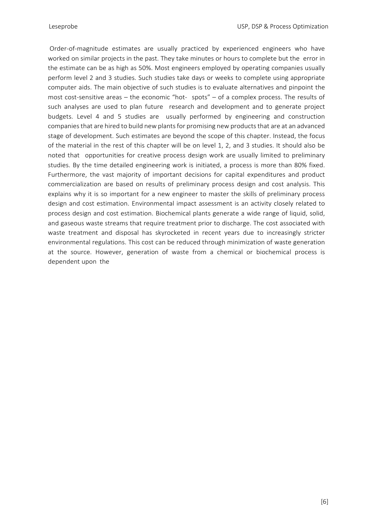Order-of-magnitude estimates are usually practiced by experienced engineers who have worked on similar projects in the past. They take minutes or hours to complete but the error in the estimate can be as high as 50%. Most engineers employed by operating companies usually perform level 2 and 3 studies. Such studies take days or weeks to complete using appropriate computer aids. The main objective of such studies is to evaluate alternatives and pinpoint the most cost-sensitive areas – the economic "hot- spots" – of a complex process. The results of such analyses are used to plan future research and development and to generate project budgets. Level 4 and 5 studies are usually performed by engineering and construction companies that are hired to build new plants for promising new products that are at an advanced stage of development. Such estimates are beyond the scope of this chapter. Instead, the focus of the material in the rest of this chapter will be on level 1, 2, and 3 studies. It should also be noted that opportunities for creative process design work are usually limited to preliminary studies. By the time detailed engineering work is initiated, a process is more than 80% fixed. Furthermore, the vast majority of important decisions for capital expenditures and product commercialization are based on results of preliminary process design and cost analysis. This explains why it is so important for a new engineer to master the skills of preliminary process design and cost estimation. Environmental impact assessment is an activity closely related to process design and cost estimation. Biochemical plants generate a wide range of liquid, solid, and gaseous waste streams that require treatment prior to discharge. The cost associated with waste treatment and disposal has skyrocketed in recent years due to increasingly stricter environmental regulations. This cost can be reduced through minimization of waste generation at the source. However, generation of waste from a chemical or biochemical process is dependent upon the